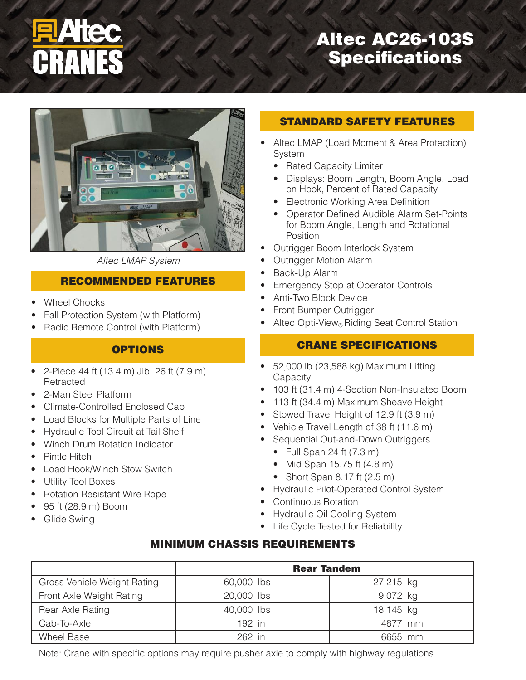# Altec AC26-103S Specifications



*Altec LMAP System*

## RECOMMENDED FEATURES

- **Wheel Chocks**
- Fall Protection System (with Platform)
- Radio Remote Control (with Platform)

### **OPTIONS**

- 2-Piece 44 ft (13.4 m) Jib, 26 ft (7.9 m) **Retracted**
- 2-Man Steel Platform
- Climate-Controlled Enclosed Cab
- **Load Blocks for Multiple Parts of Line**
- • Hydraulic Tool Circuit at Tail Shelf
- **Winch Drum Rotation Indicator**
- • Pintle Hitch
- **Load Hook/Winch Stow Switch**
- **Utility Tool Boxes**
- **Rotation Resistant Wire Rope**
- 95 ft (28.9 m) Boom
- Glide Swing

### STANDARD SAFETY FEATURES

- Altec LMAP (Load Moment & Area Protection) System
	- Rated Capacity Limiter
	- Displays: Boom Length, Boom Angle, Load on Hook, Percent of Rated Capacity
	- Electronic Working Area Definition
	- Operator Defined Audible Alarm Set-Points for Boom Angle, Length and Rotational **Position**
- Outrigger Boom Interlock System
- **Outrigger Motion Alarm**
- Back-Up Alarm
- Emergency Stop at Operator Controls
- Anti-Two Block Device
- **Front Bumper Outrigger**
- Altec Opti-View® Riding Seat Control Station

## CRANE SPECIFICATIONS

- $\bullet$  52,000 lb (23,588 kg) Maximum Lifting **Capacity**
- 103 ft (31.4 m) 4-Section Non-Insulated Boom
- 113 ft (34.4 m) Maximum Sheave Height
- Stowed Travel Height of 12.9 ft (3.9 m)
- Vehicle Travel Length of 38 ft (11.6 m)
- Sequential Out-and-Down Outriggers
	- $\bullet$  Full Span 24 ft (7.3 m)
	- $\bullet$  Mid Span 15.75 ft  $(4.8 \text{ m})$
	- Short Span 8.17 ft (2.5 m)
- • Hydraulic Pilot-Operated Control System
- Continuous Rotation
- Hydraulic Oil Cooling System
- Life Cycle Tested for Reliability

### MINIMUM CHASSIS REQUIREMENTS

|                             | <b>Rear Tandem</b> |           |
|-----------------------------|--------------------|-----------|
| Gross Vehicle Weight Rating | 60,000 lbs         | 27,215 kg |
| Front Axle Weight Rating    | 20,000 lbs         | 9,072 kg  |
| Rear Axle Rating            | 40,000 lbs         | 18,145 kg |
| Cab-To-Axle                 | 192 in             | 4877 mm   |
| <b>Wheel Base</b>           | $262$ in           | 6655 mm   |

Note: Crane with specific options may require pusher axle to comply with highway regulations.